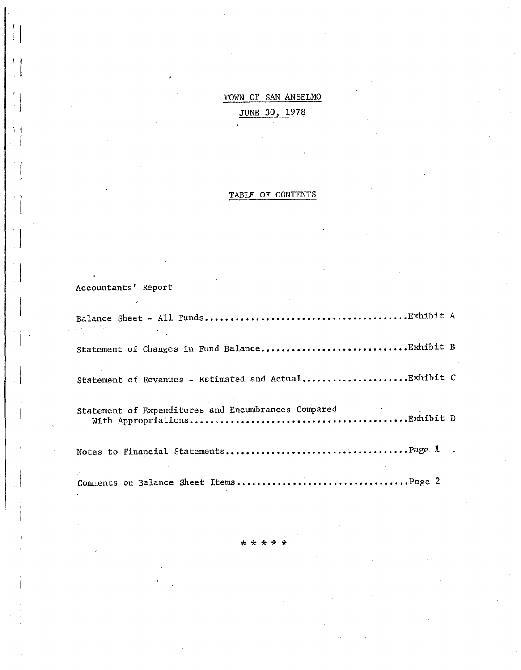TOWN OF SAN ANSELMO JUNE 30, 1978

#### TABLE OF CONTENTS

Accountants' Report

Balance Sheet - All **Funds •••••••••.•••••••••••.••••.•••••.•.•.•.• Exhibit A**  Statement of Changes in Fund **Ba1ance •••••••••••••••••••••••.••••• Exhibit B**  Statement of Revenues - Estimated and Actual............................Exhibit C Statement of Expenditures and Encumbrances Compared Wi th Appropriations •••••••••••••••••••••••••••• · ••••••••••••••• Exhibi t D Notes to Financial **Statements .•••••••••••••••••.••••••••.•.•••••. page. 1**  Comments on Balance Sheet Items •••••••••••••••••••••••••••••••••• Page 2

\* \* \* \* \*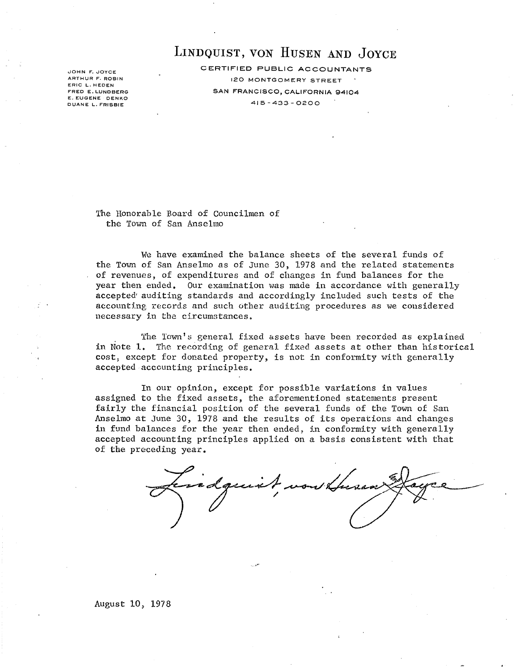JOHN F. JOYCE ARTHUR F. ROBIN ERIC L. HEDEN FRED E. LUNDBERG E. EUGENE DENKO DUANE L. FRISBIE

LINDQUIST, VON HUSEN AND JOYCE

CERTIFIED PUBLIC ACCOUNTANTS 120 MONTGOMERY STREET SAN FRANCISCO, CALIFORNIA 94104 415-433-0200

The Honorable Board of Councilmen of the Town of San Anselmo

We have examined the balance sheets of the several funds of the Town of San Anselmo as of June 30, 1978 and the related statements of revenues, of expenditures and of changes in fund balances for the year then ended. Our examination was made in accordance with generally accepted' auditing standards and accordingly included such tests of the accounting records and such other auditing procedures as we considered necessary in the circumstances.

The Town's general fixed assets have been recorded as explained in Note 1. The recording of general fixed assets at other than historical cost, except for donated property, is not in conformity with generally accepted accounting principles.

In our opinion, except for possible variations in values assigned to the fixed assets, the aforementioned statements present fairly the financial position of the several funds of the Town of San Anselmo at June 30, 1978 and the results of its operations and changes in fund balances for the year then ended, in conformity with generally accepted accounting principles applied on a basis consistent with that of the preceding year.

..r.'·

tissadquist,

August 10, 1978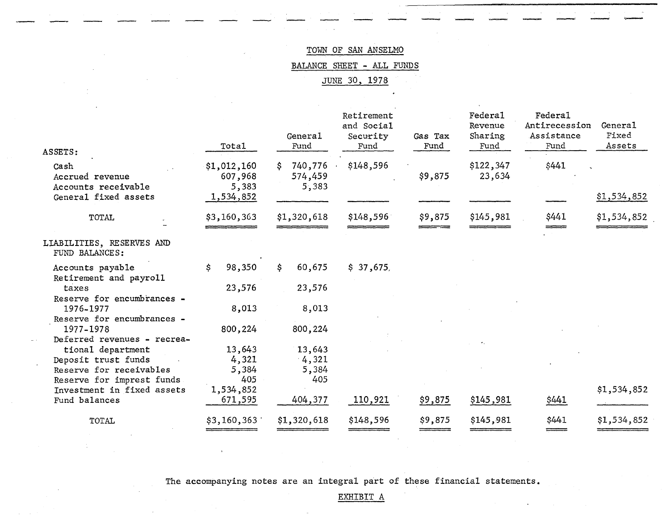-<br>-<br>-

BALANCE SHEET - ALL FUNDS

JUNE 30, 1978

| ASSETS:                                                                | Total                                        | General<br>Fund                   | Retirement<br>and Social<br>Security<br>Fund | Gas Tax<br>Fund | Federa1<br>Revenue<br>Sharing<br>Fund | <b>Federal</b><br>Antirecession<br>Assistance<br>Fund | General<br>Fixed<br>Assets |
|------------------------------------------------------------------------|----------------------------------------------|-----------------------------------|----------------------------------------------|-----------------|---------------------------------------|-------------------------------------------------------|----------------------------|
| Cash<br>Accrued revenue<br>Accounts receivable<br>General fixed assets | \$1,012,160<br>607,968<br>5,383<br>1,534,852 | 740,776<br>S.<br>574,459<br>5,383 | \$148,596                                    | \$9,875         | \$122,347<br>23,634                   | \$441                                                 | \$1,534,852                |
| <b>TOTAL</b>                                                           | \$3,160,363                                  | \$1,320,618                       | \$148,596                                    | \$9,875         | \$145,981                             | \$441                                                 | \$1,534,852                |
| LIABILITIES, RESERVES AND<br>FUND BALANCES:                            |                                              |                                   |                                              |                 |                                       |                                                       |                            |
| Accounts payable<br>Retirement and payroll                             | \$.<br>98,350                                | 60,675<br>\$.                     | \$37,675                                     |                 |                                       |                                                       |                            |
| taxes                                                                  | 23,576                                       | 23,576                            |                                              |                 |                                       |                                                       |                            |
| Reserve for encumbrances -<br>1976-1977                                | 8,013                                        | 8,013                             |                                              |                 |                                       |                                                       |                            |
| Reserve for encumbrances -                                             |                                              |                                   |                                              |                 |                                       |                                                       |                            |
| 1977-1978<br>Deferred revenues - recrea-                               | 800,224                                      | 800,224                           |                                              |                 |                                       |                                                       |                            |
| tional department<br>Deposit trust funds                               | 13,643<br>4,321                              | 13,643<br>4,321                   |                                              |                 |                                       |                                                       |                            |
| Reserve for receivables                                                | 5,384                                        | 5,384                             |                                              |                 |                                       |                                                       |                            |
| Reserve for imprest funds                                              | 405                                          | 405                               |                                              |                 |                                       |                                                       |                            |
| Investment in fixed assets<br>Fund balances                            | 1,534,852<br>671,595                         | 404,377                           | 110,921                                      | \$9,875         | \$145,981                             | \$441                                                 | \$1,534,852                |
| TOTAL                                                                  | \$3,160,363                                  | \$1,320,618                       | \$148,596                                    | \$9,875         | \$145,981                             | \$441                                                 | \$1,534,852                |
|                                                                        |                                              |                                   |                                              |                 |                                       |                                                       |                            |

The accompanying notes are an integral part of these financial statements.

#### EXHIBIT A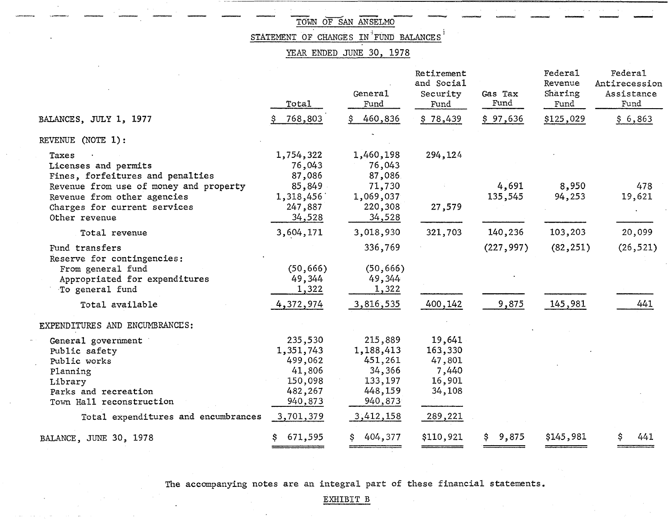$\label{eq:recon} \mathbf{v}_i$ 

STATEMENT OF CHANGES IN FUND BALANCES

### YEAR ENDED JUNE 30, 1978

|                                                                                                                                | Total                                                                      | General<br>Fund                                                            | Retirement<br>and Social<br>Security<br>Fund             | Gas Tax<br>Fund  | Federal<br>Revenue<br>Sharing<br>Fund | Federal<br>Antirecession<br>Assistance<br>Fund |
|--------------------------------------------------------------------------------------------------------------------------------|----------------------------------------------------------------------------|----------------------------------------------------------------------------|----------------------------------------------------------|------------------|---------------------------------------|------------------------------------------------|
| BALANCES, JULY 1, 1977                                                                                                         | 768,803                                                                    | 460,836                                                                    | \$78,439                                                 | \$97,636         | \$125,029                             | \$6,863                                        |
| REVENUE (NOTE 1):                                                                                                              |                                                                            |                                                                            |                                                          |                  |                                       |                                                |
| Taxes<br>Licenses and permits<br>Fines, forfeitures and penalties                                                              | 1,754,322<br>76,043<br>87,086                                              | 1,460,198<br>76,043<br>87,086                                              | 294,124                                                  |                  |                                       |                                                |
| Revenue from use of money and property<br>Revenue from other agencies                                                          | 85,849<br>1,318,456                                                        | 71,730<br>1,069,037                                                        |                                                          | 4,691<br>135,545 | 8,950<br>94,253                       | 478<br>19,621                                  |
| Charges for current services<br>Other revenue                                                                                  | 247,887<br>34,528                                                          | 220,308<br>34,528                                                          | 27,579                                                   |                  |                                       |                                                |
| Total revenue                                                                                                                  | 3,604,171                                                                  | 3,018,930                                                                  | 321,703                                                  | 140,236          | 103,203                               | 20,099                                         |
| Fund transfers<br>Reserve for contingencies:                                                                                   |                                                                            | 336,769                                                                    |                                                          | (227, 997)       | (82, 251)                             | (26, 521)                                      |
| From general fund<br>Appropriated for expenditures<br>To general fund                                                          | (50, 666)<br>49,344<br>1,322                                               | (50, 666)<br>49,344<br>1,322                                               |                                                          |                  |                                       |                                                |
| Total available                                                                                                                | 4,372,974                                                                  | 3,816,535                                                                  | 400,142                                                  | 9,875            | 145,981                               | 441                                            |
| EXPENDITURES AND ENCUMBRANCES:                                                                                                 |                                                                            |                                                                            |                                                          |                  |                                       |                                                |
| General government<br>Public safety<br>Public works<br>Planning<br>Library<br>Parks and recreation<br>Town Hall reconstruction | 235,530<br>1,351,743<br>499,062<br>41,806<br>150,098<br>482,267<br>940,873 | 215,889<br>1,188,413<br>451,261<br>34,366<br>133,197<br>448,159<br>940,873 | 19,641<br>163,330<br>47,801<br>7,440<br>16,901<br>34,108 |                  |                                       |                                                |
| Total expenditures and encumbrances                                                                                            | 3,701,379                                                                  | 3,412,158                                                                  | 289,221                                                  |                  |                                       |                                                |
| BALANCE, JUNE 30, 1978                                                                                                         | 671,595                                                                    | 404,377                                                                    | \$110,921                                                | 9,875<br>s       | \$145,981                             | 441                                            |

The accompanying notes are an integral part of these financial statements.

EXHIBIT B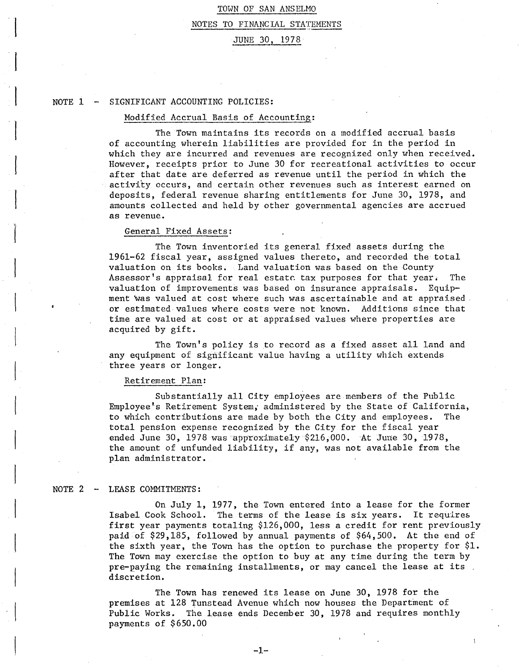#### NOTES TO FINANCIAL STATEMENTS

#### JUNE 30, 1978

#### $NOTE = 1 - 1$ SIGNIFICANT ACCOUNTING POLICIES:

#### Modified Accrual Basis of Accounting:

The Town maintains its records on a modified accrual basis of accounting wherein liabilities are provided for in the period in which they are incurred and revenues are recognized only when received. However, receipts prior to June 30 for recreational activities to occur after that date are deferred as revenue until the period in which the activity occurs, and certain other revenues such as interest earned on deposits, federal revenue sharing entitlements for June 30, 1978, and amounts collected and held by other governmental agencies are accrued as revenue.

#### General Fixed Assets:

 $\overline{a}$ 

The Town inventoried its general fixed assets during the 1961-62 fiscal year, assigned values thereto, and recorded the total valuation on its books. Land valuation was based on the County Assessor's appraisal for real estate tax purposes for that year. The valuation of improvements was based on insurance appraisals. Equipment was valued at cost where such was ascertainable and at appraised. or estimated values where costs were not known. Additions since that time are valued at cost or at appraised values where properties are acquired by gift.

The Town's policy is to record as a fixed asset all land and any equipment of significant value having a utility which extends three years or longer.

#### Retirement Plan:

Substantially all City employees are members of the Public Employee's Retirement System, administered by the State of California, to which contributions are made by both the City and employees. The total pension expense recognized by the City for the fiscal year ended June 30, 1978 was approximately \$216,000. At June 30, 1978, the amount of unfunded liability, if any, was not available from the plan administrator.

#### NOTE 2 LEASE COMMITMENTS:

On July 1, 1977, the Town entered into a lease for the former Isabel Cook School. The terms of the lease is six years. It requires first year payments totaling \$126,000, less a credit for rent previously paid of \$29,185, followed by annual payments of \$64,500. At the end of the sixth year, the Town has the option to purchase the property for \$1. The Town may exercise the option to buy at any time during the term by pre-paying the remaining installments, or may cancel the lease at its . discretion.

The Town has renewed its lease on June 30, 1978 for the premises at 128 Tunstead Avenue which now houses the Department of Public Works. The lease ends December 30, 1978 and requires monthly payments of \$650.00

**-1-**